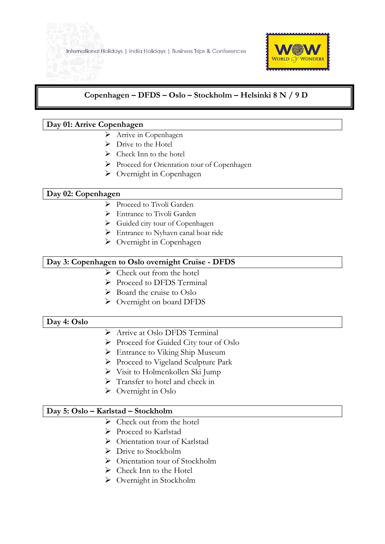

# **Copenhagen – DFDS – Oslo – Stockholm – Helsinki 8 N / 9 D**

#### **Day 01: Arrive Copenhagen**

j

- > Arrive in Copenhagen
- $\triangleright$  Drive to the Hotel
- $\triangleright$  Check Inn to the hotel
- Proceed for Orientation tour of Copenhagen
- $\triangleright$  Overnight in Copenhagen

#### **Day 02: Copenhagen**

- $\triangleright$  Proceed to Tivoli Garden
- Entrance to Tivoli Garden
- $\triangleright$  Guided city tour of Copenhagen
- > Entrance to Nyhavn canal boat ride
- > Overnight in Copenhagen

## **Day 3: Copenhagen to Oslo overnight Cruise - DFDS**

- $\triangleright$  Check out from the hotel
- Proceed to DFDS Terminal
- $\triangleright$  Board the cruise to Oslo
- Overnight on board DFDS

#### **Day 4: Oslo**

- Arrive at Oslo DFDS Terminal
- Proceed for Guided City tour of Oslo
- > Entrance to Viking Ship Museum
- ▶ Proceed to Vigeland Sculpture Park
- $\triangleright$  Visit to Holmenkollen Ski Jump
- $\triangleright$  Transfer to hotel and check in
- $\triangleright$  Overnight in Oslo

#### **Day 5: Oslo – Karlstad – Stockholm**

- $\triangleright$  Check out from the hotel
- Proceed to Karlstad
- ▶ Orientation tour of Karlstad
- ▶ Drive to Stockholm
- $\triangleright$  Orientation tour of Stockholm
- $\triangleright$  Check Inn to the Hotel
- Overnight in Stockholm